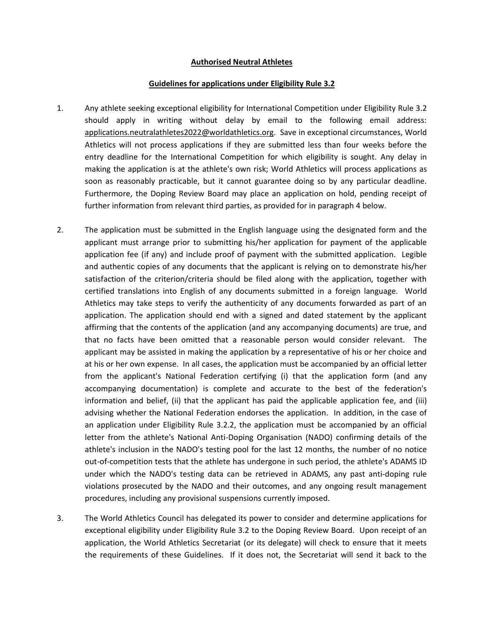## **Authorised Neutral Athletes**

## **Guidelines for applications under Eligibility Rule 3.2**

- 1. Any athlete seeking exceptional eligibility for International Competition under Eligibility Rule 3.2 should apply in writing without delay by email to the following email address: applications.neutralathletes2022@worldathletics.org. Save in exceptional circumstances, World Athletics will not process applications if they are submitted less than four weeks before the entry deadline for the International Competition for which eligibility is sought. Any delay in making the application is at the athlete's own risk; World Athletics will process applications as soon as reasonably practicable, but it cannot guarantee doing so by any particular deadline. Furthermore, the Doping Review Board may place an application on hold, pending receipt of further information from relevant third parties, as provided for in paragraph 4 below.
- 2. The application must be submitted in the English language using the designated form and the applicant must arrange prior to submitting his/her application for payment of the applicable application fee (if any) and include proof of payment with the submitted application. Legible and authentic copies of any documents that the applicant is relying on to demonstrate his/her satisfaction of the criterion/criteria should be filed along with the application, together with certified translations into English of any documents submitted in a foreign language. World Athletics may take steps to verify the authenticity of any documents forwarded as part of an application. The application should end with a signed and dated statement by the applicant affirming that the contents of the application (and any accompanying documents) are true, and that no facts have been omitted that a reasonable person would consider relevant. The applicant may be assisted in making the application by a representative of his or her choice and at his or her own expense. In all cases, the application must be accompanied by an official letter from the applicant's National Federation certifying (i) that the application form (and any accompanying documentation) is complete and accurate to the best of the federation's information and belief, (ii) that the applicant has paid the applicable application fee, and (iii) advising whether the National Federation endorses the application. In addition, in the case of an application under Eligibility Rule 3.2.2, the application must be accompanied by an official letter from the athlete's National Anti-Doping Organisation (NADO) confirming details of the athlete's inclusion in the NADO's testing pool for the last 12 months, the number of no notice out-of-competition tests that the athlete has undergone in such period, the athlete's ADAMS ID under which the NADO's testing data can be retrieved in ADAMS, any past anti-doping rule violations prosecuted by the NADO and their outcomes, and any ongoing result management procedures, including any provisional suspensions currently imposed.
- 3. The World Athletics Council has delegated its power to consider and determine applications for exceptional eligibility under Eligibility Rule 3.2 to the Doping Review Board. Upon receipt of an application, the World Athletics Secretariat (or its delegate) will check to ensure that it meets the requirements of these Guidelines. If it does not, the Secretariat will send it back to the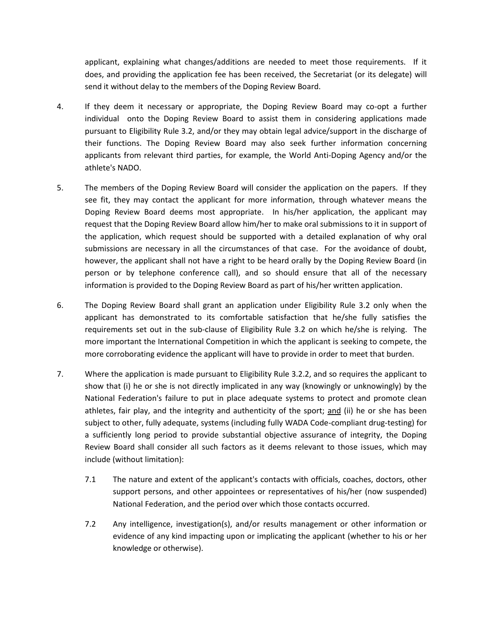applicant, explaining what changes/additions are needed to meet those requirements. If it does, and providing the application fee has been received, the Secretariat (or its delegate) will send it without delay to the members of the Doping Review Board.

- 4. If they deem it necessary or appropriate, the Doping Review Board may co-opt a further individual onto the Doping Review Board to assist them in considering applications made pursuant to Eligibility Rule 3.2, and/or they may obtain legal advice/support in the discharge of their functions. The Doping Review Board may also seek further information concerning applicants from relevant third parties, for example, the World Anti-Doping Agency and/or the athlete's NADO.
- 5. The members of the Doping Review Board will consider the application on the papers. If they see fit, they may contact the applicant for more information, through whatever means the Doping Review Board deems most appropriate. In his/her application, the applicant may request that the Doping Review Board allow him/her to make oral submissions to it in support of the application, which request should be supported with a detailed explanation of why oral submissions are necessary in all the circumstances of that case. For the avoidance of doubt, however, the applicant shall not have a right to be heard orally by the Doping Review Board (in person or by telephone conference call), and so should ensure that all of the necessary information is provided to the Doping Review Board as part of his/her written application.
- 6. The Doping Review Board shall grant an application under Eligibility Rule 3.2 only when the applicant has demonstrated to its comfortable satisfaction that he/she fully satisfies the requirements set out in the sub-clause of Eligibility Rule 3.2 on which he/she is relying. The more important the International Competition in which the applicant is seeking to compete, the more corroborating evidence the applicant will have to provide in order to meet that burden.
- 7. Where the application is made pursuant to Eligibility Rule 3.2.2, and so requires the applicant to show that (i) he or she is not directly implicated in any way (knowingly or unknowingly) by the National Federation's failure to put in place adequate systems to protect and promote clean athletes, fair play, and the integrity and authenticity of the sport; and (ii) he or she has been subject to other, fully adequate, systems (including fully WADA Code-compliant drug-testing) for a sufficiently long period to provide substantial objective assurance of integrity, the Doping Review Board shall consider all such factors as it deems relevant to those issues, which may include (without limitation):
	- 7.1 The nature and extent of the applicant's contacts with officials, coaches, doctors, other support persons, and other appointees or representatives of his/her (now suspended) National Federation, and the period over which those contacts occurred.
	- 7.2 Any intelligence, investigation(s), and/or results management or other information or evidence of any kind impacting upon or implicating the applicant (whether to his or her knowledge or otherwise).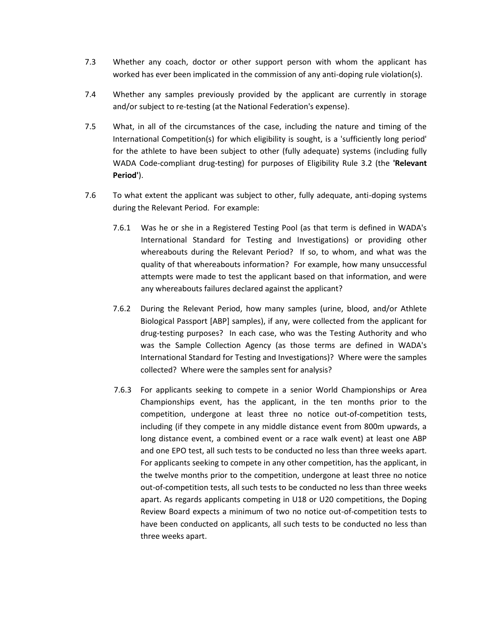- 7.3 Whether any coach, doctor or other support person with whom the applicant has worked has ever been implicated in the commission of any anti-doping rule violation(s).
- 7.4 Whether any samples previously provided by the applicant are currently in storage and/or subject to re-testing (at the National Federation's expense).
- 7.5 What, in all of the circumstances of the case, including the nature and timing of the International Competition(s) for which eligibility is sought, is a 'sufficiently long period' for the athlete to have been subject to other (fully adequate) systems (including fully WADA Code-compliant drug-testing) for purposes of Eligibility Rule 3.2 (the **'Relevant Period'**).
- 7.6 To what extent the applicant was subject to other, fully adequate, anti-doping systems during the Relevant Period. For example:
	- 7.6.1 Was he or she in a Registered Testing Pool (as that term is defined in WADA's International Standard for Testing and Investigations) or providing other whereabouts during the Relevant Period? If so, to whom, and what was the quality of that whereabouts information? For example, how many unsuccessful attempts were made to test the applicant based on that information, and were any whereabouts failures declared against the applicant?
	- 7.6.2 During the Relevant Period, how many samples (urine, blood, and/or Athlete Biological Passport [ABP] samples), if any, were collected from the applicant for drug-testing purposes? In each case, who was the Testing Authority and who was the Sample Collection Agency (as those terms are defined in WADA's International Standard for Testing and Investigations)? Where were the samples collected? Where were the samples sent for analysis?
	- 7.6.3 For applicants seeking to compete in a senior World Championships or Area Championships event, has the applicant, in the ten months prior to the competition, undergone at least three no notice out-of-competition tests, including (if they compete in any middle distance event from 800m upwards, a long distance event, a combined event or a race walk event) at least one ABP and one EPO test, all such tests to be conducted no less than three weeks apart. For applicants seeking to compete in any other competition, has the applicant, in the twelve months prior to the competition, undergone at least three no notice out-of-competition tests, all such tests to be conducted no less than three weeks apart. As regards applicants competing in U18 or U20 competitions, the Doping Review Board expects a minimum of two no notice out-of-competition tests to have been conducted on applicants, all such tests to be conducted no less than three weeks apart.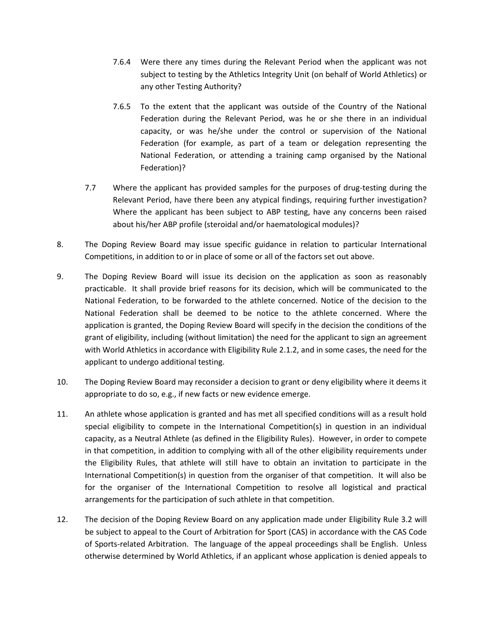- 7.6.4 Were there any times during the Relevant Period when the applicant was not subject to testing by the Athletics Integrity Unit (on behalf of World Athletics) or any other Testing Authority?
- 7.6.5 To the extent that the applicant was outside of the Country of the National Federation during the Relevant Period, was he or she there in an individual capacity, or was he/she under the control or supervision of the National Federation (for example, as part of a team or delegation representing the National Federation, or attending a training camp organised by the National Federation)?
- 7.7 Where the applicant has provided samples for the purposes of drug-testing during the Relevant Period, have there been any atypical findings, requiring further investigation? Where the applicant has been subject to ABP testing, have any concerns been raised about his/her ABP profile (steroidal and/or haematological modules)?
- 8. The Doping Review Board may issue specific guidance in relation to particular International Competitions, in addition to or in place of some or all of the factors set out above.
- 9. The Doping Review Board will issue its decision on the application as soon as reasonably practicable. It shall provide brief reasons for its decision, which will be communicated to the National Federation, to be forwarded to the athlete concerned. Notice of the decision to the National Federation shall be deemed to be notice to the athlete concerned. Where the application is granted, the Doping Review Board will specify in the decision the conditions of the grant of eligibility, including (without limitation) the need for the applicant to sign an agreement with World Athletics in accordance with Eligibility Rule 2.1.2, and in some cases, the need for the applicant to undergo additional testing.
- 10. The Doping Review Board may reconsider a decision to grant or deny eligibility where it deems it appropriate to do so, e.g., if new facts or new evidence emerge.
- 11. An athlete whose application is granted and has met all specified conditions will as a result hold special eligibility to compete in the International Competition(s) in question in an individual capacity, as a Neutral Athlete (as defined in the Eligibility Rules). However, in order to compete in that competition, in addition to complying with all of the other eligibility requirements under the Eligibility Rules, that athlete will still have to obtain an invitation to participate in the International Competition(s) in question from the organiser of that competition. It will also be for the organiser of the International Competition to resolve all logistical and practical arrangements for the participation of such athlete in that competition.
- 12. The decision of the Doping Review Board on any application made under Eligibility Rule 3.2 will be subject to appeal to the Court of Arbitration for Sport (CAS) in accordance with the CAS Code of Sports-related Arbitration. The language of the appeal proceedings shall be English. Unless otherwise determined by World Athletics, if an applicant whose application is denied appeals to